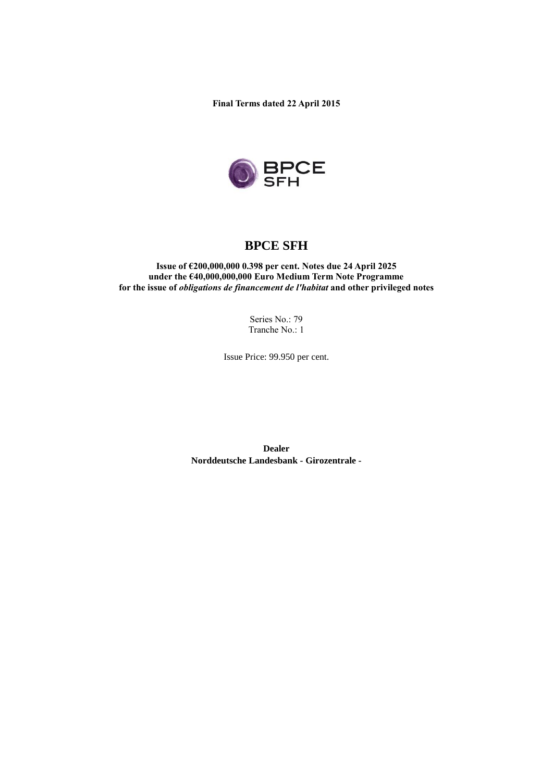**Final Terms dated 22 April 2015**



# **BPCE SFH**

**Issue of €200,000,000 0.398 per cent. Notes due 24 April 2025 under the €40,000,000,000 Euro Medium Term Note Programme for the issue of** *obligations de financement de l'habitat* **and other privileged notes**

> Series No.: 79 Tranche No.: 1

Issue Price: 99.950 per cent.

**Dealer Norddeutsche Landesbank - Girozentrale -**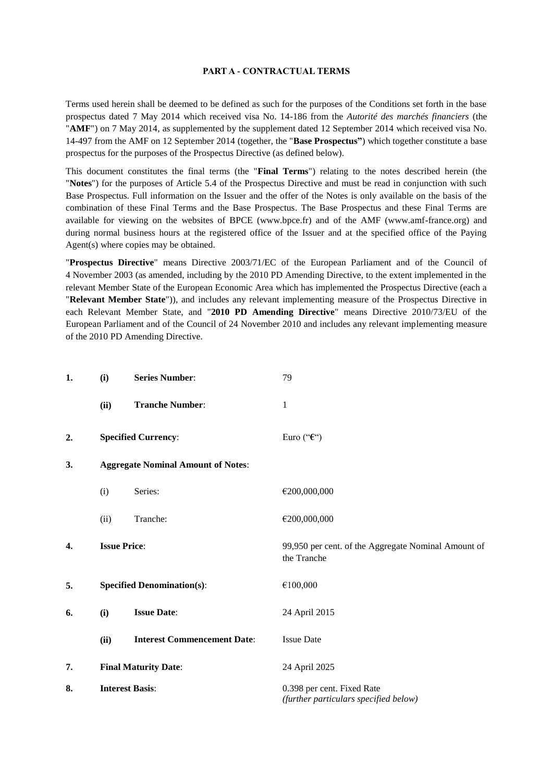#### **PART A - CONTRACTUAL TERMS**

Terms used herein shall be deemed to be defined as such for the purposes of the Conditions set forth in the base prospectus dated 7 May 2014 which received visa No. 14-186 from the *Autorité des marchés financiers* (the "**AMF**") on 7 May 2014, as supplemented by the supplement dated 12 September 2014 which received visa No. 14-497 from the AMF on 12 September 2014 (together, the "**Base Prospectus"**) which together constitute a base prospectus for the purposes of the Prospectus Directive (as defined below).

This document constitutes the final terms (the "**Final Terms**") relating to the notes described herein (the "**Notes**") for the purposes of Article 5.4 of the Prospectus Directive and must be read in conjunction with such Base Prospectus. Full information on the Issuer and the offer of the Notes is only available on the basis of the combination of these Final Terms and the Base Prospectus. The Base Prospectus and these Final Terms are available for viewing on the websites of BPCE (www.bpce.fr) and of the AMF (www.amf-france.org) and during normal business hours at the registered office of the Issuer and at the specified office of the Paying Agent(s) where copies may be obtained.

"**Prospectus Directive**" means Directive 2003/71/EC of the European Parliament and of the Council of 4 November 2003 (as amended, including by the 2010 PD Amending Directive, to the extent implemented in the relevant Member State of the European Economic Area which has implemented the Prospectus Directive (each a "**Relevant Member State**")), and includes any relevant implementing measure of the Prospectus Directive in each Relevant Member State, and "**2010 PD Amending Directive**" means Directive 2010/73/EU of the European Parliament and of the Council of 24 November 2010 and includes any relevant implementing measure of the 2010 PD Amending Directive.

| 1. | (i)                                       | <b>Series Number:</b>              | 79                                                                  |
|----|-------------------------------------------|------------------------------------|---------------------------------------------------------------------|
|    | (ii)                                      | <b>Tranche Number:</b>             | $\mathbf{1}$                                                        |
| 2. |                                           | <b>Specified Currency:</b>         | Euro (" $\epsilon$ ")                                               |
| 3. | <b>Aggregate Nominal Amount of Notes:</b> |                                    |                                                                     |
|    | (i)                                       | Series:                            | €200,000,000                                                        |
|    | (ii)                                      | Tranche:                           | €200,000,000                                                        |
| 4. | <b>Issue Price:</b>                       |                                    | 99,950 per cent. of the Aggregate Nominal Amount of<br>the Tranche  |
| 5. |                                           | <b>Specified Denomination(s):</b>  | €100,000                                                            |
| 6. | (i)                                       | <b>Issue Date:</b>                 | 24 April 2015                                                       |
|    | (ii)                                      | <b>Interest Commencement Date:</b> | <b>Issue Date</b>                                                   |
| 7. |                                           | <b>Final Maturity Date:</b>        | 24 April 2025                                                       |
| 8. |                                           | <b>Interest Basis:</b>             | 0.398 per cent. Fixed Rate<br>(further particulars specified below) |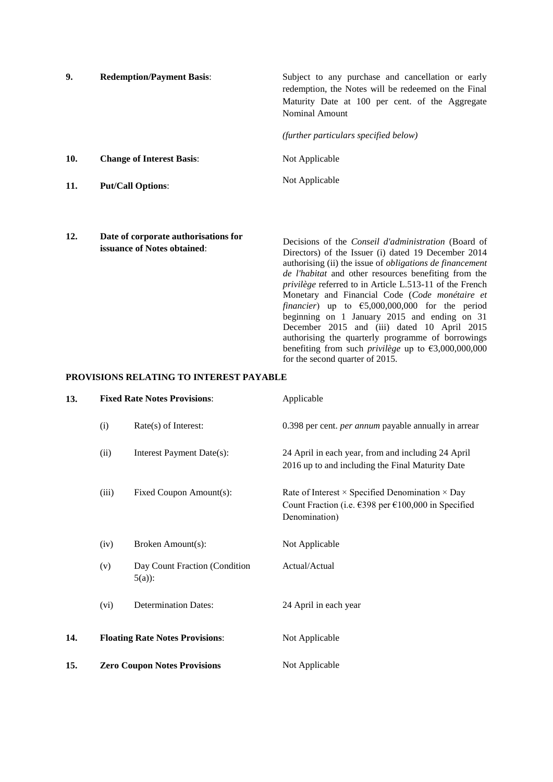| 9.  | <b>Redemption/Payment Basis:</b>                                           | Subject to any purchase and cancellation or early<br>redemption, the Notes will be redeemed on the Final<br>Maturity Date at 100 per cent. of the Aggregate<br>Nominal Amount<br>(further particulars specified below)                                                                                                |
|-----|----------------------------------------------------------------------------|-----------------------------------------------------------------------------------------------------------------------------------------------------------------------------------------------------------------------------------------------------------------------------------------------------------------------|
| 10. | <b>Change of Interest Basis:</b>                                           | Not Applicable                                                                                                                                                                                                                                                                                                        |
| 11. | <b>Put/Call Options:</b>                                                   | Not Applicable                                                                                                                                                                                                                                                                                                        |
| 12. | Date of corporate authorisations for<br><b>issuance of Notes obtained:</b> | Decisions of the <i>Conseil d'administration</i> (Board of<br>Directors) of the Issuer (i) dated 19 December 2014<br>authorising (ii) the issue of <i>obligations de financement</i><br><i>de l'habitat</i> and other resources benefiting from the<br><i>privilège</i> referred to in Article L.513-11 of the French |

Monetary and Financial Code (*Code monétaire et financier*) up to €5,000,000,000 for the period beginning on 1 January 2015 and ending on 31 December 2015 and (iii) dated 10 April 2015 authorising the quarterly programme of borrowings benefiting from such *privilège* up to €3,000,000,000

for the second quarter of 2015.

#### **PROVISIONS RELATING TO INTEREST PAYABLE**

| 13. | <b>Fixed Rate Notes Provisions:</b> |                                           | Applicable                                                                                                                            |
|-----|-------------------------------------|-------------------------------------------|---------------------------------------------------------------------------------------------------------------------------------------|
|     | (i)                                 | Rate(s) of Interest:                      | 0.398 per cent. <i>per annum</i> payable annually in arrear                                                                           |
|     | (ii)                                | Interest Payment Date(s):                 | 24 April in each year, from and including 24 April<br>2016 up to and including the Final Maturity Date                                |
|     | (iii)                               | Fixed Coupon Amount(s):                   | Rate of Interest $\times$ Specified Denomination $\times$ Day<br>Count Fraction (i.e. €398 per €100,000 in Specified<br>Denomination) |
|     | (iv)                                | Broken Amount(s):                         | Not Applicable                                                                                                                        |
|     | (v)                                 | Day Count Fraction (Condition<br>$5(a)$ : | Actual/Actual                                                                                                                         |
|     | (vi)                                | <b>Determination Dates:</b>               | 24 April in each year                                                                                                                 |
| 14. |                                     | <b>Floating Rate Notes Provisions:</b>    | Not Applicable                                                                                                                        |
| 15. |                                     | <b>Zero Coupon Notes Provisions</b>       | Not Applicable                                                                                                                        |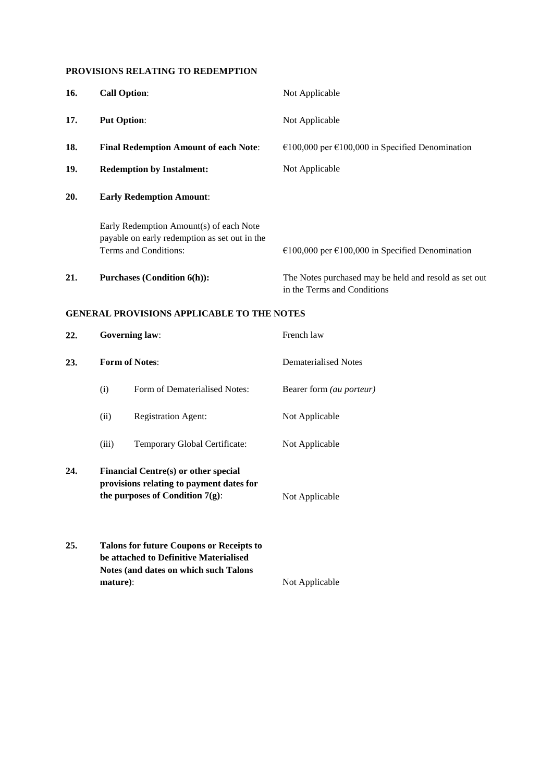### **PROVISIONS RELATING TO REDEMPTION**

| 16. |                                                                                                                   | <b>Call Option:</b>                                                                                                                | Not Applicable                                                                       |
|-----|-------------------------------------------------------------------------------------------------------------------|------------------------------------------------------------------------------------------------------------------------------------|--------------------------------------------------------------------------------------|
| 17. |                                                                                                                   | <b>Put Option:</b>                                                                                                                 | Not Applicable                                                                       |
| 18. |                                                                                                                   | <b>Final Redemption Amount of each Note:</b>                                                                                       | €100,000 per €100,000 in Specified Denomination                                      |
| 19. |                                                                                                                   | <b>Redemption by Instalment:</b>                                                                                                   | Not Applicable                                                                       |
| 20. |                                                                                                                   | <b>Early Redemption Amount:</b>                                                                                                    |                                                                                      |
|     | Early Redemption Amount(s) of each Note<br>payable on early redemption as set out in the<br>Terms and Conditions: |                                                                                                                                    | €100,000 per €100,000 in Specified Denomination                                      |
| 21. | <b>Purchases (Condition 6(h)):</b>                                                                                |                                                                                                                                    | The Notes purchased may be held and resold as set out<br>in the Terms and Conditions |
|     |                                                                                                                   | <b>GENERAL PROVISIONS APPLICABLE TO THE NOTES</b>                                                                                  |                                                                                      |
| 22. | <b>Governing law:</b>                                                                                             |                                                                                                                                    | French law                                                                           |
| 23. | <b>Form of Notes:</b>                                                                                             |                                                                                                                                    | <b>Dematerialised Notes</b>                                                          |
|     | (i)                                                                                                               | Form of Dematerialised Notes:                                                                                                      | Bearer form (au porteur)                                                             |
|     | (ii)                                                                                                              | <b>Registration Agent:</b>                                                                                                         | Not Applicable                                                                       |
|     | (iii)                                                                                                             | Temporary Global Certificate:                                                                                                      | Not Applicable                                                                       |
| 24. |                                                                                                                   | Financial Centre(s) or other special<br>provisions relating to payment dates for<br>the purposes of Condition 7(g):                | Not Applicable                                                                       |
| 25. | mature):                                                                                                          | <b>Talons for future Coupons or Receipts to</b><br>be attached to Definitive Materialised<br>Notes (and dates on which such Talons | Not Applicable                                                                       |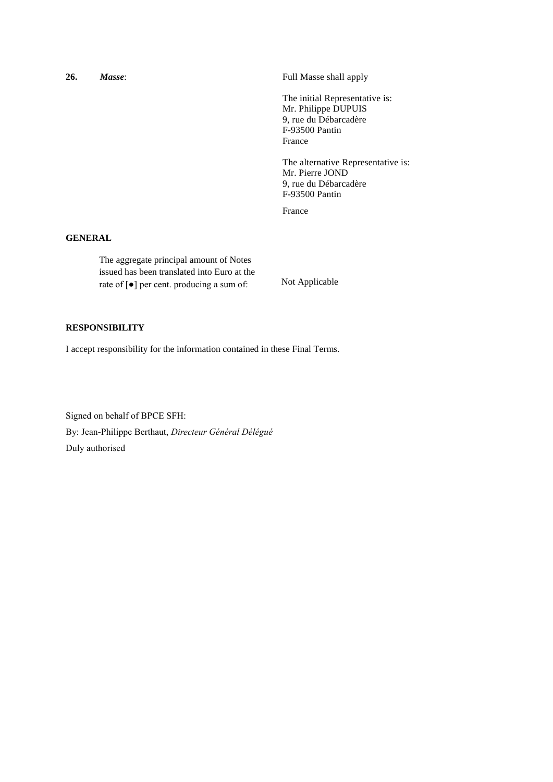| 26.                      | Masse: | Full Masse shall apply                                                                                     |
|--------------------------|--------|------------------------------------------------------------------------------------------------------------|
|                          |        | The initial Representative is:<br>Mr. Philippe DUPUIS<br>9, rue du Débarcadère<br>F-93500 Pantin<br>France |
|                          |        | The alternative Representative is:<br>Mr. Pierre JOND<br>9, rue du Débarcadère<br>F-93500 Pantin           |
|                          |        | France                                                                                                     |
| $C$ minimax $\mathbf{r}$ |        |                                                                                                            |

#### **GENERAL**

The aggregate principal amount of Notes issued has been translated into Euro at the rate of [●] per cent. producing a sum of: Not Applicable

## **RESPONSIBILITY**

I accept responsibility for the information contained in these Final Terms.

Signed on behalf of BPCE SFH: By: Jean-Philippe Berthaut, *Directeur Général Délégué* Duly authorised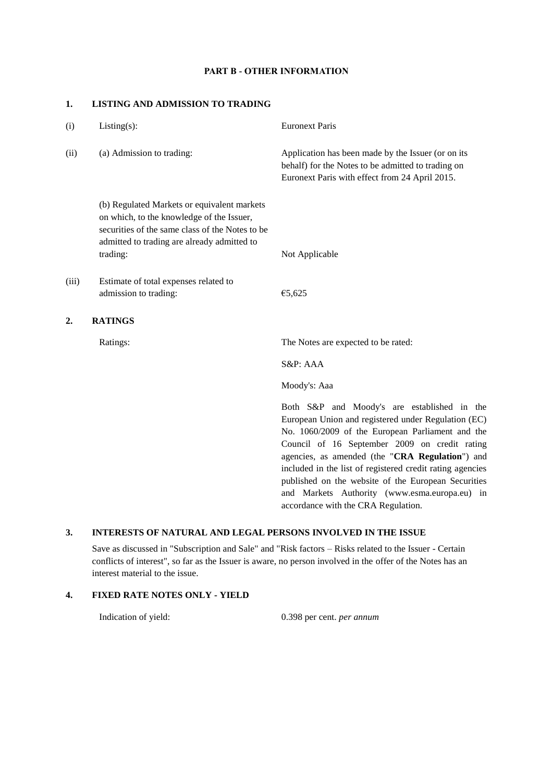#### **PART B - OTHER INFORMATION**

#### **1. LISTING AND ADMISSION TO TRADING**

| (i)   | $Listing(s)$ :                                                                                                                                                                                         | <b>Euronext Paris</b>                                                                                                                                                                                                                                                                                                                                                                                                           |
|-------|--------------------------------------------------------------------------------------------------------------------------------------------------------------------------------------------------------|---------------------------------------------------------------------------------------------------------------------------------------------------------------------------------------------------------------------------------------------------------------------------------------------------------------------------------------------------------------------------------------------------------------------------------|
| (ii)  | (a) Admission to trading:                                                                                                                                                                              | Application has been made by the Issuer (or on its<br>behalf) for the Notes to be admitted to trading on<br>Euronext Paris with effect from 24 April 2015.                                                                                                                                                                                                                                                                      |
|       | (b) Regulated Markets or equivalent markets<br>on which, to the knowledge of the Issuer,<br>securities of the same class of the Notes to be<br>admitted to trading are already admitted to<br>trading: | Not Applicable                                                                                                                                                                                                                                                                                                                                                                                                                  |
| (iii) | Estimate of total expenses related to<br>admission to trading:                                                                                                                                         | €5,625                                                                                                                                                                                                                                                                                                                                                                                                                          |
| 2.    | <b>RATINGS</b>                                                                                                                                                                                         |                                                                                                                                                                                                                                                                                                                                                                                                                                 |
|       | Ratings:                                                                                                                                                                                               | The Notes are expected to be rated:                                                                                                                                                                                                                                                                                                                                                                                             |
|       |                                                                                                                                                                                                        | S&P: AAA                                                                                                                                                                                                                                                                                                                                                                                                                        |
|       |                                                                                                                                                                                                        | Moody's: Aaa                                                                                                                                                                                                                                                                                                                                                                                                                    |
|       |                                                                                                                                                                                                        | Both S&P and Moody's are established in the<br>European Union and registered under Regulation (EC)<br>No. 1060/2009 of the European Parliament and the<br>Council of 16 September 2009 on credit rating<br>agencies, as amended (the "CRA Regulation") and<br>included in the list of registered credit rating agencies<br>published on the website of the European Securities<br>and Markets Authority (www.esma.europa.eu) in |

#### **3. INTERESTS OF NATURAL AND LEGAL PERSONS INVOLVED IN THE ISSUE**

Save as discussed in "Subscription and Sale" and "Risk factors – Risks related to the Issuer - Certain conflicts of interest", so far as the Issuer is aware, no person involved in the offer of the Notes has an interest material to the issue.

#### **4. FIXED RATE NOTES ONLY - YIELD**

Indication of yield: 0.398 per cent. *per annum*

accordance with the CRA Regulation.